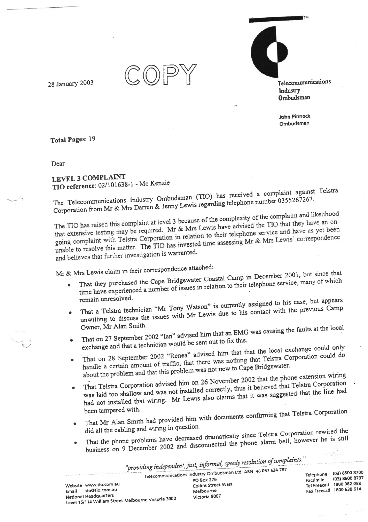28 January 2003

Telecommunications Industry Ombudsman

John Pinnock Ombudsman

Total Pages: 19

Dear

**LEVEL 3 COMPLAINT** TIO reference: 02/101638-1 - Mc Kenzie

The Telecommunications Industry Ombudsman (TIO) has received a complaint against Telstra Corporation from Mr & Mrs Darren & Jenny Lewis regarding telephone number 0355267267.

The TIO has raised this complaint at level 3 because of the complexity of the complaint and likelihood that extensive testing may be required. Mr & Mrs Lewis have advised the TIO that they have an ongoing complaint with Telstra Corporation in relation to their telephone service and have as yet been unable to resolve this matter. The TIO has invested time assessing Mr & Mrs Lewis' correspondence and believes that further investigation is warranted.

Mr & Mrs Lewis claim in their correspondence attached:

- That they purchased the Cape Bridgewater Coastal Camp in December 2001, but since that time have experienced a number of issues in relation to their telephone service, many of which remain unresolved.
- That a Telstra technician "Mr Tony Watson" is currently assigned to his case, but appears unwilling to discuss the issues with Mr Lewis due to his contact with the previous Camp Owner, Mr Alan Smith.

That on 27 September 2002 "Ian" advised him that an EMG was causing the faults at the local

- exchange and that a technician would be sent out to fix this. That on 28 September 2002 "Renea" advised him that that the local exchange could only
- handle a certain amount of traffic, that there was nothing that Telstra Corporation could do  $\bullet$ about the problem and that this problem was not new to Cape Bridgewater.
- That Telstra Corporation advised him on 26 November 2002 that the phone extension wiring was laid too shallow and was not installed correctly, thus it believed that Telstra Corporation  $\bullet$ had not installed that wiring. Mr Lewis also claims that it was suggested that the line had been tampered with.
- That Mr Alan Smith had provided him with documents confirming that Telstra Corporation did all the cabling and wiring in question.
- That the phone problems have decreased dramatically since Telstra Corporation rewired the business on 9 December 2002 and disconnected the phone alarm bell, however he is still  $\bullet$

"providing independent, just, informal, speedy resolution of complaints."

|       |                        | Consideration and Committee Management of the Section of Section 2021, and the Committee of Section 2021. | Telecommunications Industry Ombudsman Ltd ABN 46 057 654 767<br>PO Box 276 | Facsimile | Telephone (03) 8600 8700<br>$(03)$ 8600 8797 |
|-------|------------------------|-----------------------------------------------------------------------------------------------------------|----------------------------------------------------------------------------|-----------|----------------------------------------------|
|       | Website www.tio.com.au |                                                                                                           | Collins Street West                                                        |           | Tel Freecall 1800 062 058                    |
| Email | tio@tio.com.au         |                                                                                                           | Melbourne                                                                  |           | Fax Freecall 1800 630 614                    |
|       | National Headquarters  |                                                                                                           | Victoria 8007                                                              |           |                                              |
|       |                        | Level 15/114 William Street Melbourne Victoria 3000                                                       |                                                                            |           |                                              |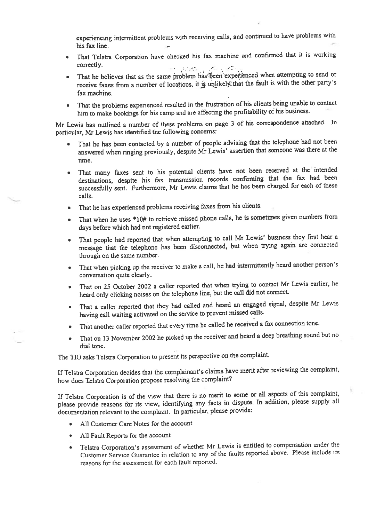experiencing intermittent problems with receiving calls, and continued to have problems with his fax line.

- . That Tclstra Corporation have checked his fax machine and confirmed that il is working correctly.
- . That he believes that as the same problem has been experienced when attempting to send or receive faxes from a number of locations, it is unlikely that the fault is with the other party's fax machine.
- That the problems experienced resulted in the frustration of his clients being unable to contact him to make bookings for his camp and are affecting the profitability of his business.

Mr Lewis has outlined a number of these problems on page 3 of his correspondence attached. In particular, Mr Lewis has identified the following concerns:

- That he has been contacted by a number of people advising that the telephone had not been answered when ringing previously, despite Mr Lewis' assertion that someone was there at the time.
- That many faxes sent to his potential clients have not been received at the intended destinations, despite his fax transmission records confirming that the fax had been successfully sent. Furthermore, Mr Lewis claims that he has been charged for each of these calls.
- That he has experienced problems receiving faxes from his clients.
- That when he uses \*10# to retrieve missed phone calls, he is sometimes given numbers from days before which had not registered earlier.
- That people had reported that when attempting to call Mr Lewis' business they first hear a message that the telephone has been disconnected, but when trying again are connected through on the same number.
- That when picking up the receiver to make a call, he had intermittently heard another person's conversation quite clearly.
- That on 25 October 2002 a caller reported that when trying to contact Mr Lewis earlier, he heard only clicking noises on the telephone line, but the call did not connect.
- That a caller reported that they had called and heard an engaged signal, despite Mr Lewis having call waiting activated on the service to prevent missed calls.
- That another caller reported that every time he called he received a fax connection tone.
- That on 13 November 2002 he picked up the receiver and heard a deep breathing sound but no dial tone.

The TIO asks Telstra Corporation to present its perspective on the complaint.

If Telstra Corporation decides that the complainant's claims have merit after reviewing the complaint, how does Telstra Corporation propose resolving the complaint?

If Telstra Corporation is of the view that there is no merit to some or all aspects of this complaint, please provide reasons for its view, identifying any facts in dispute. In addition, please supply all documentation relevant to the complaint. In particular, please provide:

- All Customer Care Notes for the account
- . All Fault Reports for the account
- Telstra Corporation's assessment of whether Mr Lewis is entitled to compensation under the customer Service Guarantee in relation to any of the faults reported above. Please include its reasons for the assessment for each fault reported.